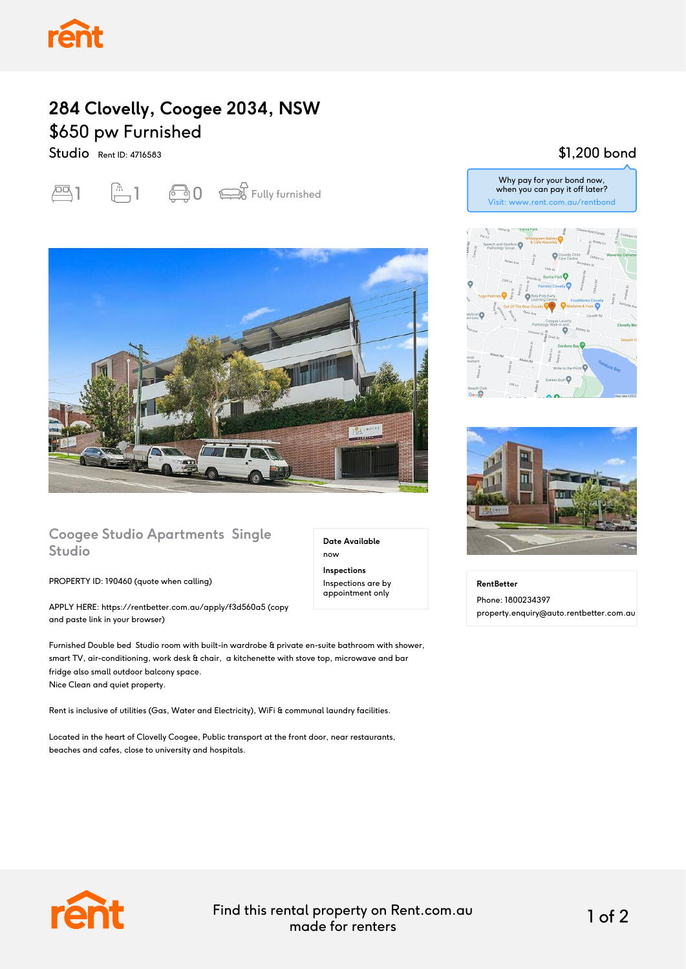## **284 Clovelly, Coogee 2034, NSW** \$650 pw Furnished

Studio Rent ID: 4716583

# $\begin{array}{ccc} 1 & \begin{array}{cc} 1 & 1 & 1 \end{array} & 1 & 1 & 1 & 1 \end{array} \end{array}$



#### **Coogee Studio Apartments Single Studio**

PROPERTY ID: 190460 (quote when calling)

APPLY HERE: https://rentbetter.com.au/apply/f3d560a5 (copy and paste link in your browser)

Furnished Double bed Studio room with built-in wardrobe & private en-suite bathroom with shower, smart TV, air-conditioning, work desk & chair, a kitchenette with stove top, microwave and bar fridge also small outdoor balcony space. Nice Clean and quiet property.

Rent is inclusive of utilities (Gas, Water and Electricity), WiFi & communal laundry facilities.

Located in the heart of Clovelly Coogee, Public transport at the front door, near restaurants, beaches and cafes, close to university and hospitals.

\$1,200 bond



Why pay for your bond now, when you can pay it off later?



**RentBetter** Phone: 1800234397 property.enquiry@auto.rentbetter.com.au



Find this rental property on Rent.com.au made for renters 1 of 2

**Date Available**

now **Inspections** Inspections are by appointment only